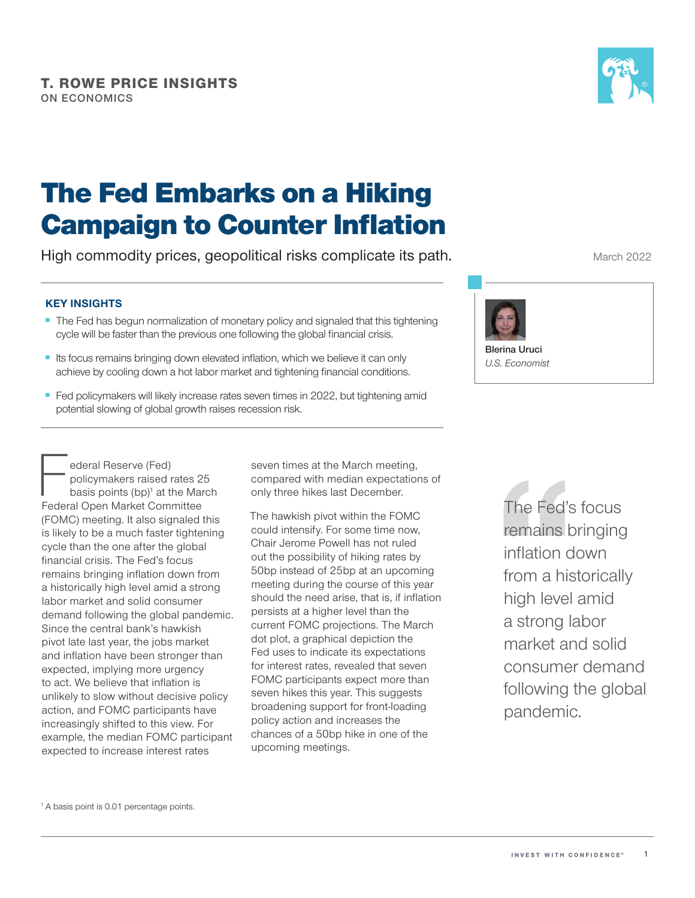

# The Fed Embarks on a Hiking **Campaign to Counter Inflation**

High commodity prices, geopolitical risks complicate its path.

### **KEY INSIGHTS**

- The Fed has begun normalization of monetary policy and signaled that this tightening cycle will be faster than the previous one following the global financial crisis.
- Its focus remains bringing down elevated inflation, which we believe it can only achieve by cooling down a hot labor market and tightening fnancial conditions.
- Fed policymakers will likely increase rates seven times in 2022, but tightening amid potential slowing of global growth raises recession risk.

ederal Reserve (Fed)<br>
policymakers raised rates 2<br>
basis points (bp)<sup>1</sup> at the Mar<br>
Federal Open Market Committee policymakers raised rates 25 basis points  $(bp)^{1}$  at the March (FOMC) meeting. It also signaled this is likely to be a much faster tightening cycle than the one after the global financial crisis. The Fed's focus remains bringing inflation down from a historically high level amid a strong labor market and solid consumer demand following the global pandemic. Since the central bank's hawkish pivot late last year, the jobs market and infation have been stronger than expected, implying more urgency to act. We believe that infation is unlikely to slow without decisive policy action, and FOMC participants have increasingly shifted to this view. For example, the median FOMC participant expected to increase interest rates

seven times at the March meeting, compared with median expectations of only three hikes last December.

upcoming meetings. The hawkish pivot within the FOMC could intensify. For some time now, Chair Jerome Powell has not ruled out the possibility of hiking rates by 50bp instead of 25bp at an upcoming meeting during the course of this year should the need arise, that is, if inflation persists at a higher level than the current FOMC projections. The March dot plot, a graphical depiction the Fed uses to indicate its expectations for interest rates, revealed that seven FOMC participants expect more than seven hikes this year. This suggests broadening support for front-loading policy action and increases the chances of a 50bp hike in one of the The hawkish pivot within the FOMC<br>
could intensify. For some time now,<br>
Chair Jerome Powell has not ruled<br>
out the possibility of hiking rates by<br>
50bp instead of 25bp at an upcoming<br>
meeting during the course of this year



**Blerina Uruci**  *U.S. Economist* 

> remains bringing infation down from a historically high level amid a strong labor market and solid consumer demand following the global pandemic.

<sup>1</sup> A basis point is 0.01 percentage points.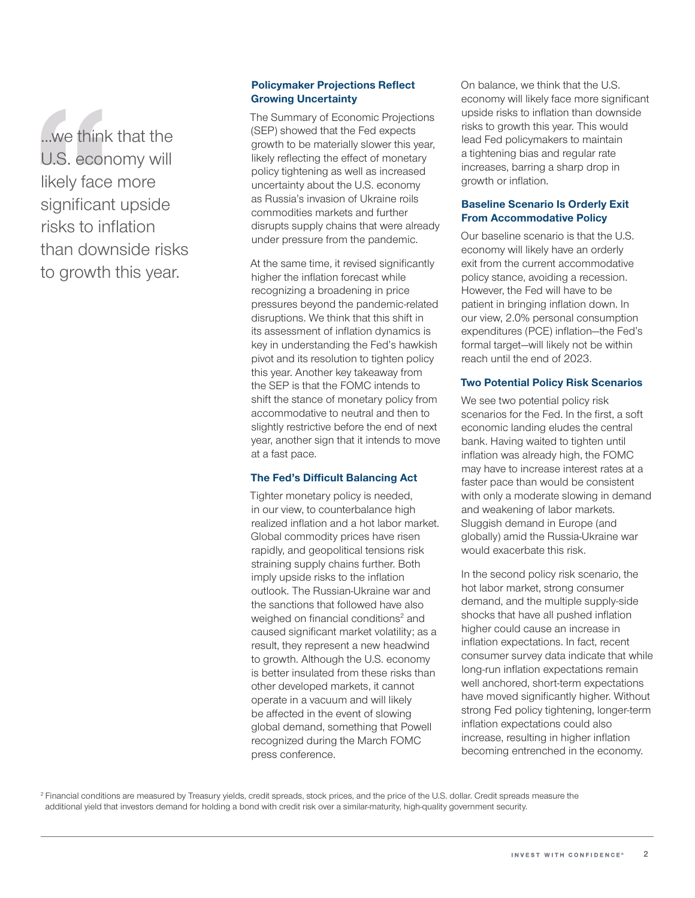...we think that the U.S. economy will likely face more significant upside risks to infation than downside risks to growth this year.

#### **Policymaker Projections Refect Growing Uncertainty**

The Summary of Economic Projections (SEP) showed that the Fed expects growth to be materially slower this year, likely reflecting the effect of monetary policy tightening as well as increased uncertainty about the U.S. economy as Russia's invasion of Ukraine roils commodities markets and further disrupts supply chains that were already under pressure from the pandemic.

At the same time, it revised significantly higher the inflation forecast while recognizing a broadening in price pressures beyond the pandemic-related disruptions. We think that this shift in its assessment of infation dynamics is key in understanding the Fed's hawkish pivot and its resolution to tighten policy this year. Another key takeaway from the SEP is that the FOMC intends to shift the stance of monetary policy from accommodative to neutral and then to slightly restrictive before the end of next year, another sign that it intends to move at a fast pace.

### **The Fed's Difficult Balancing Act**

Tighter monetary policy is needed, in our view, to counterbalance high realized infation and a hot labor market. Global commodity prices have risen rapidly, and geopolitical tensions risk straining supply chains further. Both imply upside risks to the inflation outlook. The Russian-Ukraine war and the sanctions that followed have also weighed on financial conditions<sup>2</sup> and caused significant market volatility; as a result, they represent a new headwind to growth. Although the U.S. economy is better insulated from these risks than other developed markets, it cannot operate in a vacuum and will likely be afected in the event of slowing global demand, something that Powell recognized during the March FOMC press conference.

On balance, we think that the U.S. economy will likely face more significant upside risks to infation than downside risks to growth this year. This would lead Fed policymakers to maintain a tightening bias and regular rate increases, barring a sharp drop in growth or inflation.

#### **Baseline Scenario Is Orderly Exit From Accommodative Policy**

Our baseline scenario is that the U.S. economy will likely have an orderly exit from the current accommodative policy stance, avoiding a recession. However, the Fed will have to be patient in bringing infation down. In our view, 2.0% personal consumption expenditures (PCE) infation—the Fed's formal target—will likely not be within reach until the end of 2023.

#### **Two Potential Policy Risk Scenarios**

We see two potential policy risk scenarios for the Fed. In the first, a soft economic landing eludes the central bank. Having waited to tighten until infation was already high, the FOMC may have to increase interest rates at a faster pace than would be consistent with only a moderate slowing in demand and weakening of labor markets. Sluggish demand in Europe (and globally) amid the Russia-Ukraine war would exacerbate this risk.

In the second policy risk scenario, the hot labor market, strong consumer demand, and the multiple supply-side shocks that have all pushed inflation higher could cause an increase in infation expectations. In fact, recent consumer survey data indicate that while long-run infation expectations remain well anchored, short-term expectations have moved significantly higher. Without strong Fed policy tightening, longer-term inflation expectations could also increase, resulting in higher inflation becoming entrenched in the economy.

<sup>2</sup> Financial conditions are measured by Treasury yields, credit spreads, stock prices, and the price of the U.S. dollar. Credit spreads measure the additional yield that investors demand for holding a bond with credit risk over a similar-maturity, high-quality government security.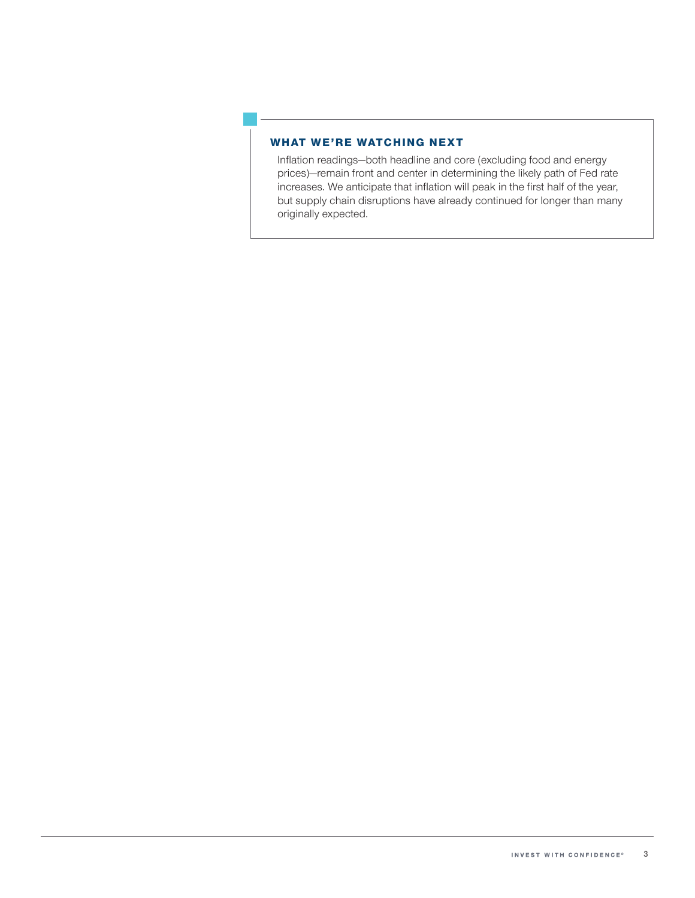#### WHAT WE'RE WATCHING NEXT

Infation readings—both headline and core (excluding food and energy prices)—remain front and center in determining the likely path of Fed rate increases. We anticipate that inflation will peak in the first half of the year, but supply chain disruptions have already continued for longer than many originally expected.